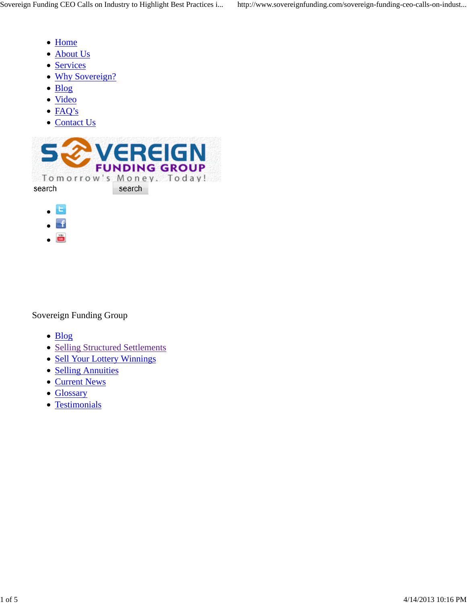- Home
- About Us
- Services
- Why Sovereign?
- Blog
- Video
- FAQ's
- Contact Us



- $\blacksquare$
- $-$ f
- ö

#### Sovereign Funding Group

- Blog
- Selling Structured Settlements
- Sell Your Lottery Winnings
- Selling Annuities
- Current News
- Glossary
- Testimonials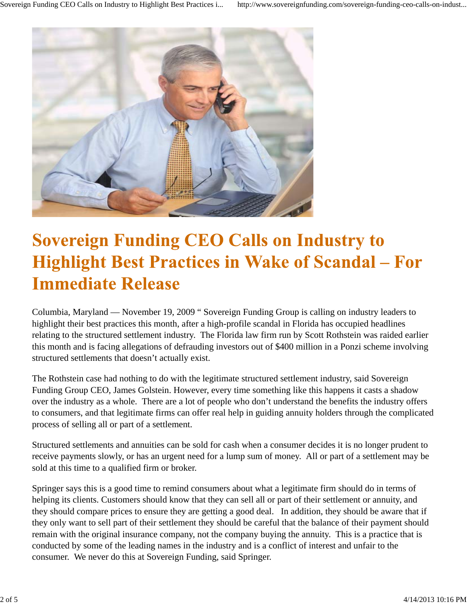

# **Sovereign Funding CEO Calls on Industry to Highlight Best Practices in Wake of Scandal - For Immediate Release**

Columbia, Maryland — November 19, 2009 " Sovereign Funding Group is calling on industry leaders to highlight their best practices this month, after a high-profile scandal in Florida has occupied headlines relating to the structured settlement industry. The Florida law firm run by Scott Rothstein was raided earlier this month and is facing allegations of defrauding investors out of \$400 million in a Ponzi scheme involving structured settlements that doesn't actually exist.

The Rothstein case had nothing to do with the legitimate structured settlement industry, said Sovereign Funding Group CEO, James Golstein. However, every time something like this happens it casts a shadow over the industry as a whole. There are a lot of people who don't understand the benefits the industry offers to consumers, and that legitimate firms can offer real help in guiding annuity holders through the complicated process of selling all or part of a settlement.

Structured settlements and annuities can be sold for cash when a consumer decides it is no longer prudent to receive payments slowly, or has an urgent need for a lump sum of money. All or part of a settlement may be sold at this time to a qualified firm or broker.

Springer says this is a good time to remind consumers about what a legitimate firm should do in terms of helping its clients. Customers should know that they can sell all or part of their settlement or annuity, and they should compare prices to ensure they are getting a good deal. In addition, they should be aware that if they only want to sell part of their settlement they should be careful that the balance of their payment should remain with the original insurance company, not the company buying the annuity. This is a practice that is conducted by some of the leading names in the industry and is a conflict of interest and unfair to the consumer. We never do this at Sovereign Funding, said Springer.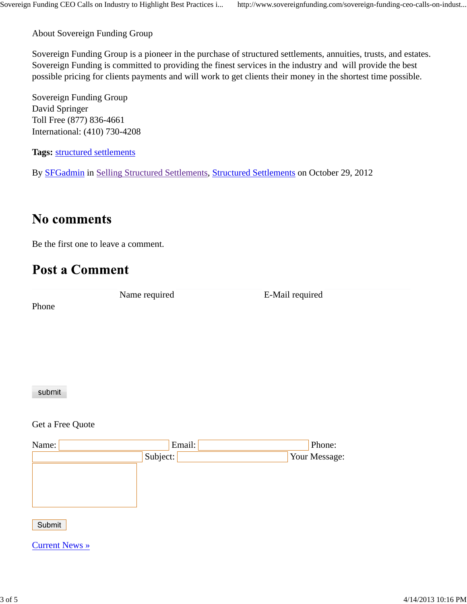About Sovereign Funding Group

Sovereign Funding Group is a pioneer in the purchase of structured settlements, annuities, trusts, and estates. Sovereign Funding is committed to providing the finest services in the industry and will provide the best possible pricing for clients payments and will work to get clients their money in the shortest time possible.

Sovereign Funding Group David Springer Toll Free (877) 836-4661 International: (410) 730-4208

**Tags:** structured settlements

By SFGadmin in Selling Structured Settlements, Structured Settlements on October 29, 2012

### **No comments**

Be the first one to leave a comment.

### **Post a Comment**

Phone

Name required E-Mail required

#### submit

Get a Free Quote

| Name: |          | Email: | Phone:        |
|-------|----------|--------|---------------|
|       | Subject: |        | Your Message: |
|       |          |        |               |
|       |          |        |               |
|       |          |        |               |
|       |          |        |               |

Submit

Current News »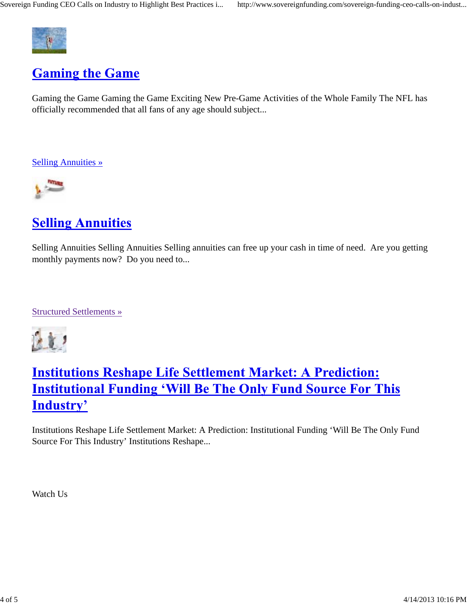

### **Gaming the Game**

Gaming the Game Gaming the Game Exciting New Pre-Game Activities of the Whole Family The NFL has officially recommended that all fans of any age should subject...

Selling Annuities »



# **Selling Annuities**

Selling Annuities Selling Annuities Selling annuities can free up your cash in time of need. Are you getting monthly payments now? Do you need to...

Structured Settlements »



# **Institutions Reshape Life Settlement Market: A Prediction: Institutional Funding 'Will Be The Only Fund Source For This Industry'**

Institutions Reshape Life Settlement Market: A Prediction: Institutional Funding 'Will Be The Only Fund Source For This Industry' Institutions Reshape...

Watch Us